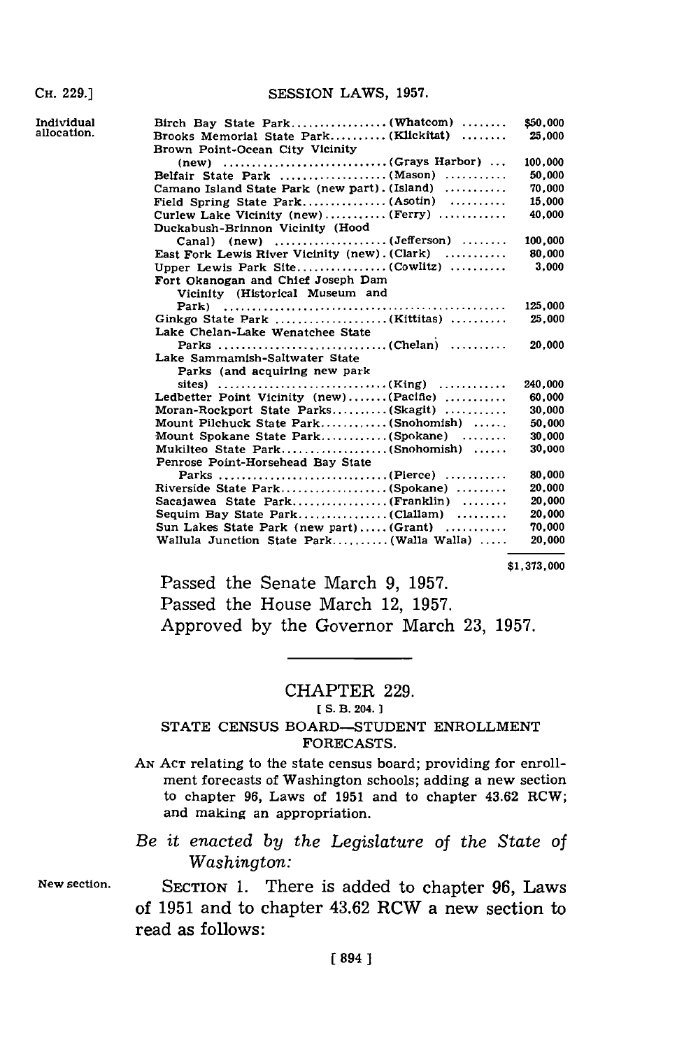| Individual<br>allocation. | Birch Bay State Park (Whatcom)<br>Brooks Memorial State Park (Klickitat)<br>Brown Point-Ocean City Vicinity | \$50,000<br>25.000 |
|---------------------------|-------------------------------------------------------------------------------------------------------------|--------------------|
|                           |                                                                                                             | 100.000            |
|                           | Belfair State Park (Mason)                                                                                  | 50,000             |
|                           | Camano Island State Park (new part). (Island)                                                               | 70,000             |
|                           | Field Spring State Park (Asotin)                                                                            | 15,000             |
|                           | Curlew Lake Vicinity (new) (Ferry)                                                                          | 40,000             |
|                           | Duckabush-Brinnon Vicinity (Hood                                                                            |                    |
|                           |                                                                                                             | 100,000            |
|                           | East Fork Lewis River Vicinity (new). (Clark)                                                               | 80,000             |
|                           | Upper Lewis Park Site(Cowlitz)                                                                              | 3.000              |
|                           | Fort Okanogan and Chief Joseph Dam                                                                          |                    |
|                           | Vicinity (Historical Museum and                                                                             |                    |
|                           |                                                                                                             | 125,000            |
|                           | Ginkgo State Park (Kittitas)                                                                                | 25.000             |
|                           | Lake Chelan-Lake Wenatchee State                                                                            |                    |
|                           |                                                                                                             | 20,000             |
|                           | Lake Sammamish-Saltwater State                                                                              |                    |
|                           | Parks (and acquiring new park                                                                               |                    |
|                           |                                                                                                             | 240,000            |
|                           | Ledbetter Point Vicinity (new)(Pacific)                                                                     | 60.000             |
|                           | Moran-Rockport State Parks(Skagit)                                                                          | 30,000             |
|                           | Mount Pilchuck State Park(Snohomish)                                                                        | 50,000             |
|                           | Mount Spokane State Park(Spokane)                                                                           | 30,000             |
|                           | Mukilteo State Park(Snohomish)                                                                              | 30,000             |
|                           | Penrose Point-Horsehead Bay State                                                                           |                    |
|                           | Parks (Pierce)                                                                                              | 80,000             |
|                           | Riverside State Park(Spokane)                                                                               | 20.000             |
|                           |                                                                                                             | 20,000             |
|                           |                                                                                                             | 20,000             |
|                           | Sun Lakes State Park (new part) (Grant)                                                                     | 70.000             |
|                           | Wallula Junction State Park(Walla Walla)                                                                    | 20,000             |
|                           |                                                                                                             |                    |

**\$1,373,000**

Passed the Senate March **9, 1957.** Passed the House March 12, **1957.** Approved **by** the Governor March **23, 1957.**

## CHAPTER **229.**

[ **S.** B. 204. **1**

## **STATE CENSUS BOARD-STUDENT ENROLLMENT FORECASTS.**

**AN ACT** relating to the state census board; providing for enrollment forecasts of Washington schools; adding a new section to chapter **96,** Laws of **1951** and to chapter 43.62 ROW; and making an appropriation.

*Be it enacted by the Legislature of the State of Washington:*

New section. **SECTION 1.** There is added to chapter **96,** Laws of **1951** and to chapter 43.62 RCW a new section to read as follows: